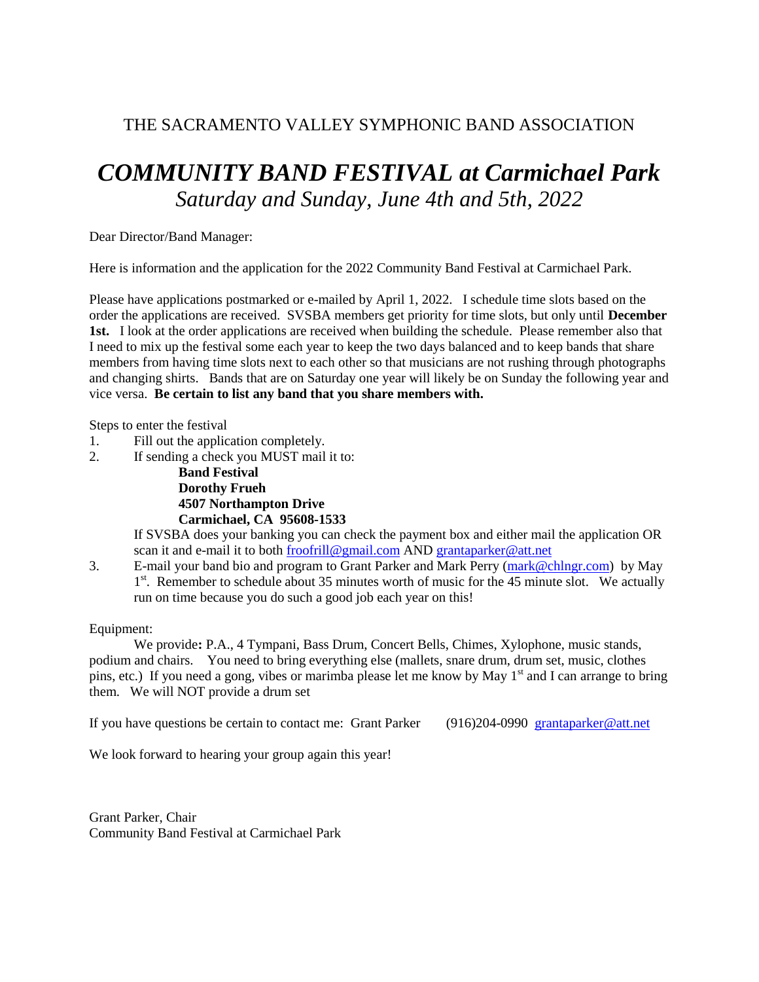## THE SACRAMENTO VALLEY SYMPHONIC BAND ASSOCIATION

## *COMMUNITY BAND FESTIVAL at Carmichael Park Saturday and Sunday, June 4th and 5th, 2022*

Dear Director/Band Manager:

Here is information and the application for the 2022 Community Band Festival at Carmichael Park.

Please have applications postmarked or e-mailed by April 1, 2022. I schedule time slots based on the order the applications are received. SVSBA members get priority for time slots, but only until **December 1st.** I look at the order applications are received when building the schedule. Please remember also that I need to mix up the festival some each year to keep the two days balanced and to keep bands that share members from having time slots next to each other so that musicians are not rushing through photographs and changing shirts. Bands that are on Saturday one year will likely be on Sunday the following year and vice versa. **Be certain to list any band that you share members with.**

Steps to enter the festival

- 1. Fill out the application completely.
- 2. If sending a check you MUST mail it to:

**Band Festival Dorothy Frueh 4507 Northampton Drive Carmichael, CA 95608-1533**

If SVSBA does your banking you can check the payment box and either mail the application OR scan it and e-mail it to both [froofrill@gmail.com](mailto:froofrill@gmail.com) AND [grantaparker@att.net](mailto:grantaparker@att.net)

3. E-mail your band bio and program to Grant Parker and Mark Perry [\(mark@chlngr.com\)](mailto:mark@chlngr.com) by May 1<sup>st</sup>. Remember to schedule about 35 minutes worth of music for the 45 minute slot. We actually run on time because you do such a good job each year on this!

Equipment:

We provide**:** P.A., 4 Tympani, Bass Drum, Concert Bells, Chimes, Xylophone, music stands, podium and chairs. You need to bring everything else (mallets, snare drum, drum set, music, clothes pins, etc.) If you need a gong, vibes or marimba please let me know by May  $1<sup>st</sup>$  and I can arrange to bring them. We will NOT provide a drum set

If you have questions be certain to contact me: Grant Parker (916)204-0990 grantaparker@att.net

We look forward to hearing your group again this year!

Grant Parker, Chair Community Band Festival at Carmichael Park